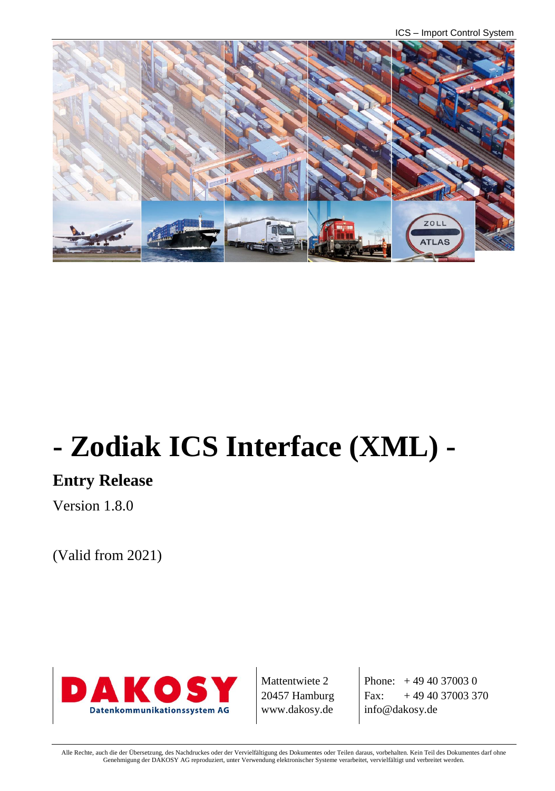ICS – Import Control System



# **- Zodiak ICS Interface (XML) -**

# **Entry Release**

Version 1.8.0

(Valid from 2021)



Mattentwiete 2 20457 Hamburg www.dakosy.de

Phone:  $+4940370030$ Fax:  $+494037003370$ info@dakosy.de

Alle Rechte, auch die der Übersetzung, des Nachdruckes oder der Vervielfältigung des Dokumentes oder Teilen daraus, vorbehalten. Kein Teil des Dokumentes darf ohne Genehmigung der DAKOSY AG reproduziert, unter Verwendung elektronischer Systeme verarbeitet, vervielfältigt und verbreitet werden.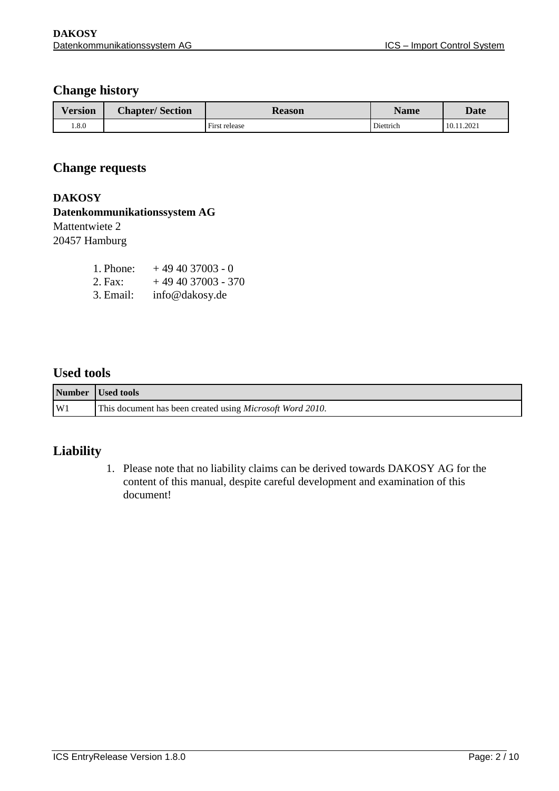### **Change history**

| $\mathbf{r}$<br>Version | <b>Chapter/Section</b> | <b>Reason</b> | <b>Name</b> | <b>Date</b> |
|-------------------------|------------------------|---------------|-------------|-------------|
| 0.8.0                   |                        | First release | Diettrich   | 10.11.2021  |

#### **Change requests**

#### **DAKOSY**

### **Datenkommunikationssystem AG**

# Mattentwiete 2

20457 Hamburg

| 1. Phone: | $+494037003 - 0$   |
|-----------|--------------------|
| 2. Fax:   | $+494037003 - 370$ |
| 3. Email: | info@dakosy.de     |

#### **Used tools**

|    | Number Used tools                                                 |
|----|-------------------------------------------------------------------|
| W1 | This document has been created using <i>Microsoft Word 2010</i> . |

#### **Liability**

1. Please note that no liability claims can be derived towards DAKOSY AG for the content of this manual, despite careful development and examination of this document!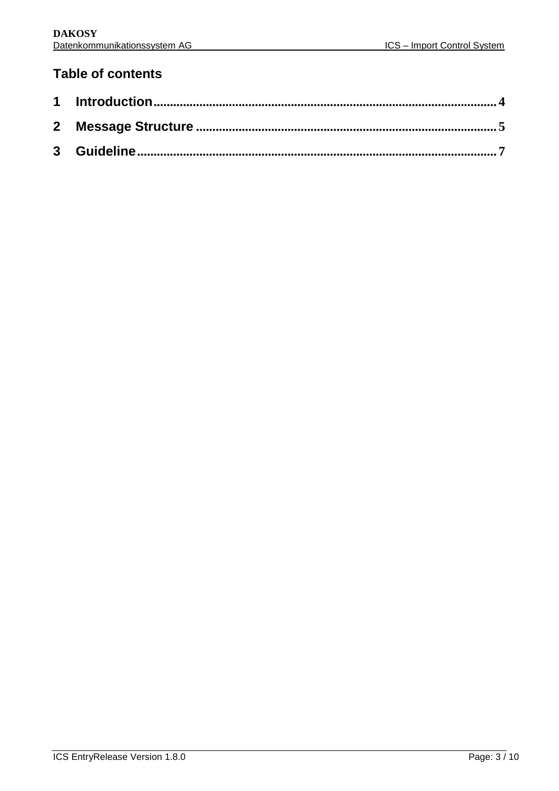## **Table of contents**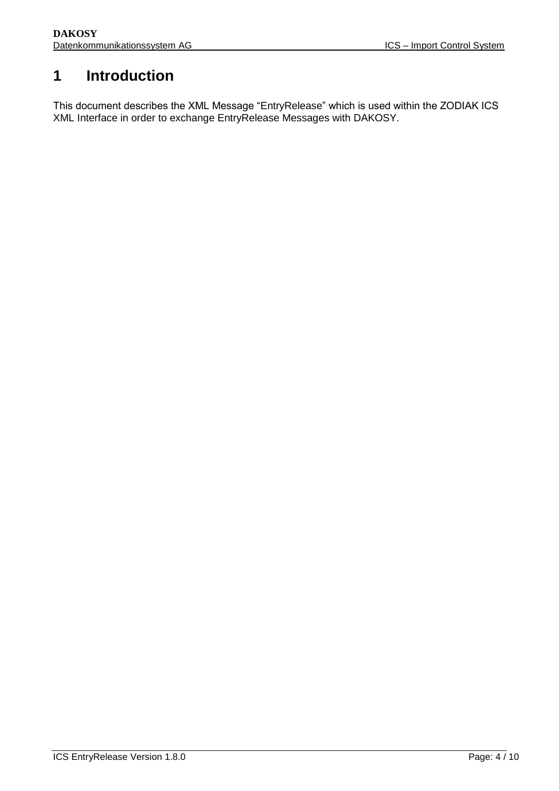# <span id="page-3-0"></span>**1 Introduction**

This document describes the XML Message "EntryRelease" which is used within the ZODIAK ICS XML Interface in order to exchange EntryRelease Messages with DAKOSY.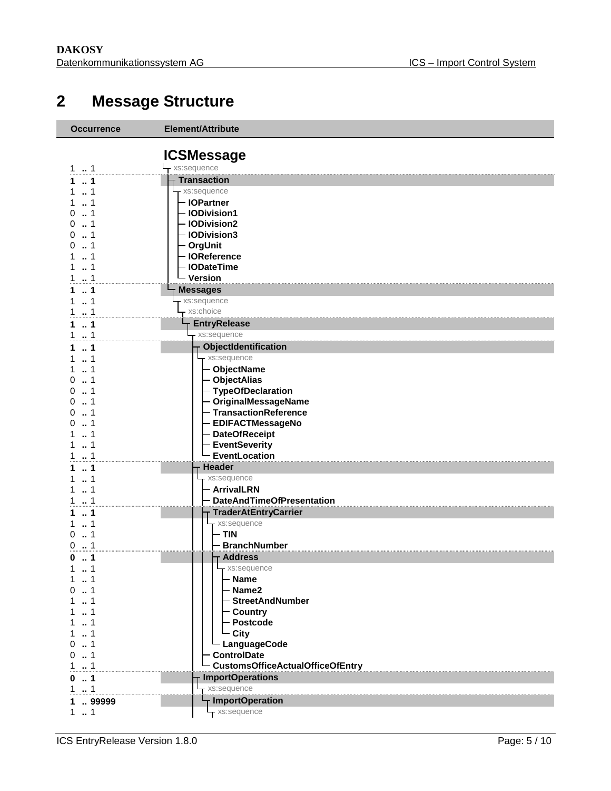# **Message Structure**

<span id="page-4-0"></span>

| <b>Occurrence</b>         | Element/Attribute                                |  |
|---------------------------|--------------------------------------------------|--|
|                           |                                                  |  |
|                           | <b>ICSMessage</b>                                |  |
| 11                        | $-$ xs:sequence                                  |  |
| $\ldots$ 1<br>1           | <b>Transaction</b>                               |  |
| . . 1<br>1.<br>1<br>1     | xs:sequence<br>- IOPartner                       |  |
| $\dots$ 1<br>0            | - IODivision1                                    |  |
| . . 1<br>0                | - IODivision2                                    |  |
| $\dots$ 1<br>0            | - IODivision3                                    |  |
| $\dots$ 1<br>0            | - OrgUnit                                        |  |
| 1                         | - IOReference                                    |  |
| $\ldots$ 1<br>1           | <b>IODateTime</b>                                |  |
| $\ldots$ 1<br>1           | - Version                                        |  |
| $\ldots$ 1<br>1           | <b>Messages</b>                                  |  |
| 1<br>1                    | xs:sequence                                      |  |
| 1.1                       | xs:choice                                        |  |
| $\ldots$ 1<br>1           | <b>EntryRelease</b>                              |  |
| 1.1                       | xs:sequence                                      |  |
| $\sim$ 1<br>1             | ObjectIdentification                             |  |
| $\dots$ 1<br>1<br>1<br>1. | xs:sequence<br>- ObjectName                      |  |
| . . 1<br>0                | - ObjectAlias                                    |  |
| . . 1<br>0                | - TypeOfDeclaration                              |  |
| 1<br>0                    | - OriginalMessageName                            |  |
| 1<br>0                    | - TransactionReference                           |  |
| 1<br>0                    | <b>EDIFACTMessageNo</b>                          |  |
| 1<br>1                    | - DateOfReceipt                                  |  |
| 1<br>1                    | <b>EventSeverity</b>                             |  |
| 1.1                       | <b>EventLocation</b>                             |  |
| $\ldots$ 1<br>1           | <b>Header</b>                                    |  |
| 1<br>1                    | xs:sequence                                      |  |
| 1<br>1<br>$\ldots$ 1<br>1 | - ArrivalLRN<br><b>DateAndTimeOfPresentation</b> |  |
| $\ldots$ 1<br>1.          | <b>TraderAtEntryCarrier</b>                      |  |
| $\dots$ 1<br>1            | xs:sequence                                      |  |
| $\dots$ 1<br>0            | - TIN                                            |  |
| $\dots$ 1<br>0            | - BranchNumber                                   |  |
| $\dots$ 1<br>0            | ⊤ Address                                        |  |
| $1 - 1$                   | - xs:sequence                                    |  |
| $\ldots$ 1<br>1           | <b>Name</b>                                      |  |
| $\sim$ 1<br>0             | Name2                                            |  |
| . 1                       | StreetAndNumber                                  |  |
| $\dots$ 1<br>1.           | - Country                                        |  |
| 1<br>1<br>1               | - Postcode                                       |  |
| 1.<br>. . 1<br>0          | - City<br>LanguageCode                           |  |
| $0 \t  1$                 | <b>ControlDate</b>                               |  |
| 1.1                       | <b>CustomsOfficeActualOfficeOfEntry</b>          |  |
| $\ldots$ 1<br>0           | <b>ImportOperations</b>                          |  |
| 1.1                       | xs:sequence                                      |  |
| 1  99999                  | <b>ImportOperation</b>                           |  |
| 11                        | - xs:sequence                                    |  |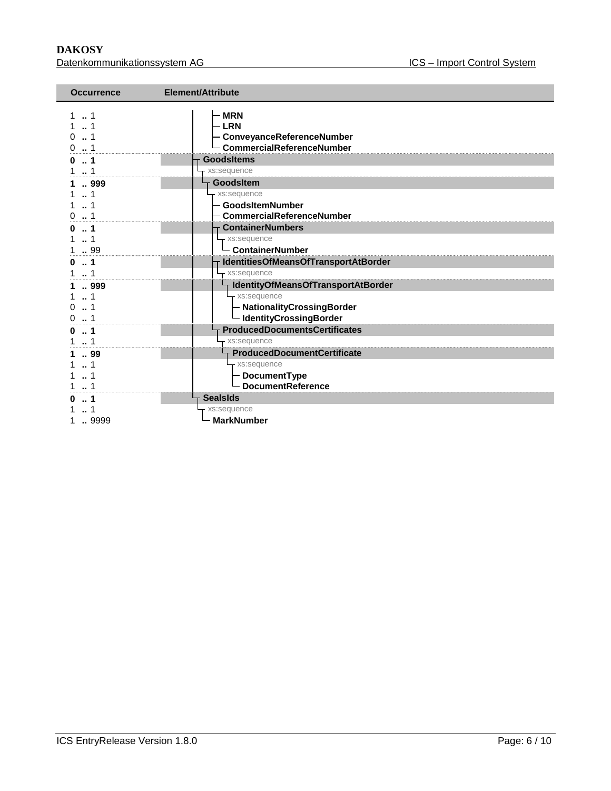**DAKOSY**<br>Datenkommunikationssystem AG<br>Datenkommunikationssystem AG<br>
Batenkommunikationssystem AG Datenkommunikationssystem AG

| <b>Occurrence</b> | Element/Attribute                                                                           |  |
|-------------------|---------------------------------------------------------------------------------------------|--|
| $\Omega$          | <b>MRN</b><br><b>LRN</b><br>- ConveyanceReferenceNumber<br><b>CommercialReferenceNumber</b> |  |
| 1<br>n            | <b>GoodsItems</b>                                                                           |  |
|                   | xs:sequence                                                                                 |  |
| 999               | GoodsItem                                                                                   |  |
| -1                | xs:sequence<br><b>GoodsItemNumber</b>                                                       |  |
|                   | CommercialReferenceNumber                                                                   |  |
| 1                 | <b>ContainerNumbers</b>                                                                     |  |
|                   | - xs:sequence                                                                               |  |
| 99                | - ContainerNumber                                                                           |  |
| $\dots$ 1<br>ŋ.   | IdentitiesOfMeansOfTransportAtBorder                                                        |  |
| 1                 | - xs:sequence                                                                               |  |
| 999               | IdentityOfMeansOfTransportAtBorder                                                          |  |
| $\cdot$ 1         | - xs:sequence                                                                               |  |
|                   | - NationalityCrossingBorder                                                                 |  |
|                   | - IdentityCrossingBorder                                                                    |  |
|                   | <b>ProducedDocumentsCertificates</b>                                                        |  |
| 1                 | xs:sequence                                                                                 |  |
| 99                | <b>ProducedDocumentCertificate</b>                                                          |  |
|                   | - xs:sequence<br>- DocumentType                                                             |  |
|                   | <b>DocumentReference</b>                                                                    |  |
|                   | <b>SealsIds</b>                                                                             |  |
|                   | xs:sequence                                                                                 |  |
| 9999              | <b>MarkNumber</b>                                                                           |  |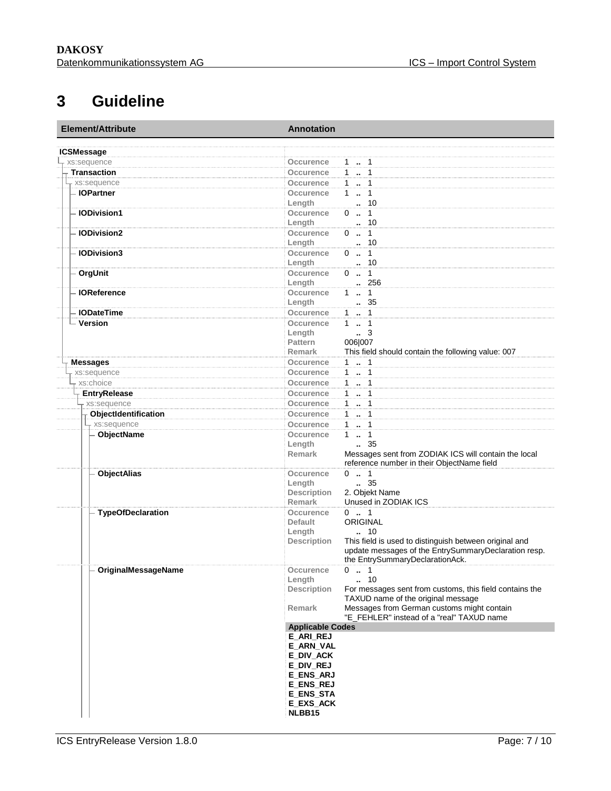# **3 Guideline**

<span id="page-6-0"></span>

| Element/Attribute        | <b>Annotation</b>                                                             |  |  |
|--------------------------|-------------------------------------------------------------------------------|--|--|
| <b>ICSMessage</b>        |                                                                               |  |  |
| xs:sequence              | 1  1<br>Occurence                                                             |  |  |
| <b>Transaction</b>       | 1  1<br>Occurence                                                             |  |  |
| r xs:sequence            | 1  1<br><b>Occurence</b>                                                      |  |  |
| - IOPartner              | 11<br>Occurence                                                               |  |  |
|                          | $\cdot$ 10<br>Length                                                          |  |  |
| <b>IODivision1</b>       | $0 \t  \t 1$<br>Occurence                                                     |  |  |
|                          | $\cdot$ 10<br>Length                                                          |  |  |
| <b>IODivision2</b>       | $0 \t  \t 1$<br>Occurence                                                     |  |  |
|                          | . 10<br>Length                                                                |  |  |
| <b>IODivision3</b>       | $0 \t  1$<br>Occurence                                                        |  |  |
|                          | $\cdot$ 10<br>Length                                                          |  |  |
| OrgUnit                  | $0 \t  1$<br>Occurence                                                        |  |  |
|                          | 256<br>Length                                                                 |  |  |
| <b>IOReference</b>       | $1 \t  \t 1$<br>Occurence                                                     |  |  |
|                          | Length<br>. 35                                                                |  |  |
| <b>IODateTime</b>        | 1  1<br><b>Occurence</b>                                                      |  |  |
| Version                  | $1 - 1$<br>Occurence                                                          |  |  |
|                          | $\cdot$ 3<br>Length                                                           |  |  |
|                          | 006 007<br><b>Pattern</b>                                                     |  |  |
|                          | This field should contain the following value: 007<br><b>Remark</b>           |  |  |
| <b>Messages</b>          | 1  1<br>Occurence                                                             |  |  |
| xs:sequence              | 11<br>Occurence                                                               |  |  |
| xs:choice                | 1  1<br>Occurence                                                             |  |  |
| <b>EntryRelease</b>      | $1 - 1$<br>Occurence                                                          |  |  |
| - xs:sequence            | Occurence<br>$1 - 1$                                                          |  |  |
| ObjectIdentification     | 1  1<br>Occurence                                                             |  |  |
| xs:sequence              | 1  1<br>Occurence                                                             |  |  |
| - ObjectName             | $1 - 1$<br>Occurence                                                          |  |  |
|                          | Length<br>35                                                                  |  |  |
|                          | Messages sent from ZODIAK ICS will contain the local<br>Remark                |  |  |
|                          | reference number in their ObjectName field                                    |  |  |
| <b>ObjectAlias</b>       | $0 \t  1$<br>Occurence                                                        |  |  |
|                          | . 35<br>Length                                                                |  |  |
|                          | 2. Objekt Name<br><b>Description</b>                                          |  |  |
|                          | Unused in ZODIAK ICS<br>Remark                                                |  |  |
| <b>TypeOfDeclaration</b> | $0 \t  1$<br>Occurence                                                        |  |  |
|                          | <b>ORIGINAL</b><br><b>Default</b>                                             |  |  |
|                          | Length<br>$\ldots$ 10                                                         |  |  |
|                          | This field is used to distinguish between original and<br><b>Description</b>  |  |  |
|                          | update messages of the EntrySummaryDeclaration resp.                          |  |  |
|                          | the EntrySummaryDeclarationAck.                                               |  |  |
| OriginalMessageName      | 0 . 1<br>Occurence                                                            |  |  |
|                          | Length<br>10                                                                  |  |  |
|                          | <b>Description</b><br>For messages sent from customs, this field contains the |  |  |
|                          | TAXUD name of the original message                                            |  |  |
|                          | Remark<br>Messages from German customs might contain                          |  |  |
|                          | "E_FEHLER" instead of a "real" TAXUD name                                     |  |  |
|                          | <b>Applicable Codes</b>                                                       |  |  |
|                          | E_ARI_REJ                                                                     |  |  |
|                          | <b>E_ARN_VAL</b>                                                              |  |  |
|                          | E_DIV_ACK                                                                     |  |  |
|                          | E_DIV_REJ                                                                     |  |  |
|                          | E ENS ARJ                                                                     |  |  |
|                          | E_ENS_REJ                                                                     |  |  |
|                          | <b>E_ENS_STA</b><br><b>E_EXS_ACK</b>                                          |  |  |
|                          | NLBB15                                                                        |  |  |
|                          |                                                                               |  |  |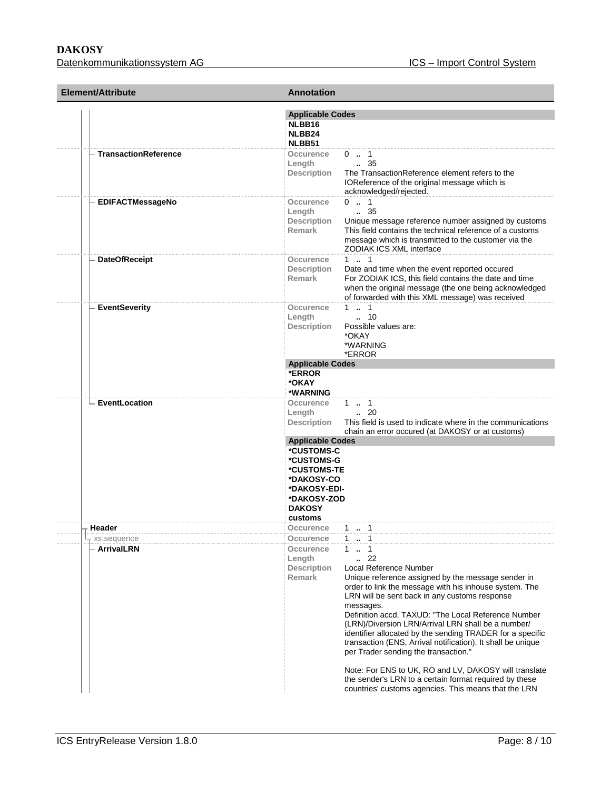**DAKOSY**<br>Datenkommunikationssystem AG<br>Datenkommunikationssystem AG<br>
Batenkommunikationssystem AG Datenkommunikationssystem AG

| Element/Attribute                | <b>Annotation</b>                                                                                                                                                                                                                                                                                                                                                                                                                                                                                                                                                                                                                                                        |  |
|----------------------------------|--------------------------------------------------------------------------------------------------------------------------------------------------------------------------------------------------------------------------------------------------------------------------------------------------------------------------------------------------------------------------------------------------------------------------------------------------------------------------------------------------------------------------------------------------------------------------------------------------------------------------------------------------------------------------|--|
|                                  | <b>Applicable Codes</b><br>NLBB16<br>NLBB24<br>NLBB51                                                                                                                                                                                                                                                                                                                                                                                                                                                                                                                                                                                                                    |  |
| - TransactionReference           | Occurence<br>$0$ . 1<br>$\, 35$<br>Length<br>The TransactionReference element refers to the<br>Description<br>IOReference of the original message which is<br>acknowledged/rejected.                                                                                                                                                                                                                                                                                                                                                                                                                                                                                     |  |
| <b>EDIFACTMessageNo</b>          | $0 \t  1$<br><b>Occurence</b><br>$\, 35$<br>Length<br>Unique message reference number assigned by customs<br><b>Description</b><br>Remark<br>This field contains the technical reference of a customs<br>message which is transmitted to the customer via the<br>ZODIAK ICS XML interface                                                                                                                                                                                                                                                                                                                                                                                |  |
| <b>DateOfReceipt</b>             | 11<br><b>Occurence</b><br><b>Description</b><br>Date and time when the event reported occured<br>For ZODIAK ICS, this field contains the date and time<br><b>Remark</b><br>when the original message (the one being acknowledged<br>of forwarded with this XML message) was received                                                                                                                                                                                                                                                                                                                                                                                     |  |
| <b>EventSeverity</b>             | $1 \t  \t 1$<br>Occurence<br>$\ldots$ 10<br>Length<br>Possible values are:<br>Description<br>*OKAY<br>*WARNING<br>*ERROR                                                                                                                                                                                                                                                                                                                                                                                                                                                                                                                                                 |  |
|                                  | <b>Applicable Codes</b><br>*ERROR<br>*OKAY<br>*WARNING                                                                                                                                                                                                                                                                                                                                                                                                                                                                                                                                                                                                                   |  |
| EventLocation                    | $1 \t  1$<br>Occurence<br>$\ldots$ 20<br>Length<br>This field is used to indicate where in the communications<br>Description<br>chain an error occured (at DAKOSY or at customs)                                                                                                                                                                                                                                                                                                                                                                                                                                                                                         |  |
|                                  | <b>Applicable Codes</b><br>*CUSTOMS-C<br>*CUSTOMS-G<br>*CUSTOMS-TE<br>*DAKOSY-CO<br>*DAKOSY-EDI-<br>*DAKOSY-ZOD<br><b>DAKOSY</b><br>customs                                                                                                                                                                                                                                                                                                                                                                                                                                                                                                                              |  |
| Header                           | Occurence<br>$1 \t  \t 1$                                                                                                                                                                                                                                                                                                                                                                                                                                                                                                                                                                                                                                                |  |
| xs:sequence<br><b>ArrivalLRN</b> | $1 \t  \t 1$<br>Occurence<br>Occurence<br>$1 \t  \t 1$<br>$\cdots$ 22<br>Length<br>Local Reference Number<br><b>Description</b><br><b>Remark</b><br>Unique reference assigned by the message sender in<br>order to link the message with his inhouse system. The<br>LRN will be sent back in any customs response<br>messages.<br>Definition accd. TAXUD: "The Local Reference Number<br>(LRN)/Diversion LRN/Arrival LRN shall be a number/<br>identifier allocated by the sending TRADER for a specific<br>transaction (ENS, Arrival notification). It shall be unique<br>per Trader sending the transaction."<br>Note: For ENS to UK, RO and LV, DAKOSY will translate |  |
|                                  | the sender's LRN to a certain format required by these<br>countries' customs agencies. This means that the LRN                                                                                                                                                                                                                                                                                                                                                                                                                                                                                                                                                           |  |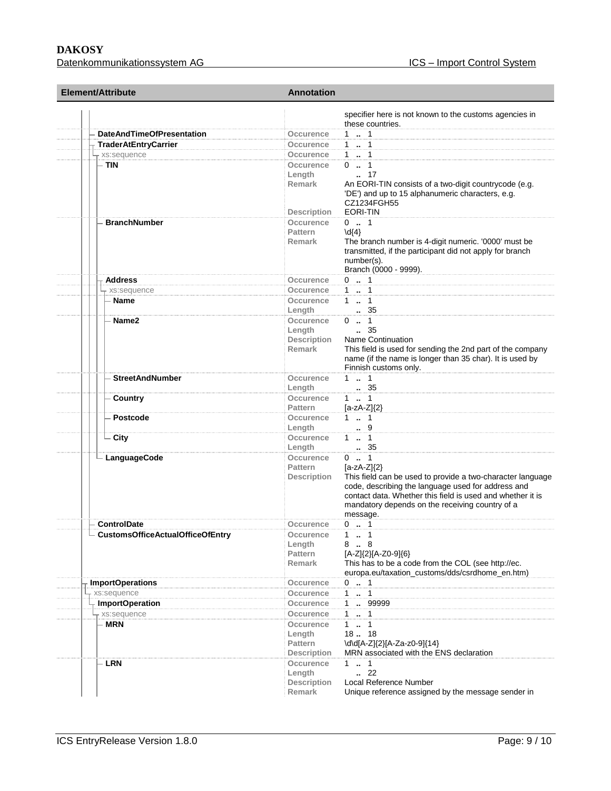#### **DAKOSY**<br>Datenkommunikationssystem AG<br>Datenkommunikationssystem AG<br>
Batenkommunikationssystem AG Datenkommunikationssystem AG

| Element/Attribute                        | <b>Annotation</b>                                                                                                                                                                                                                                                                                                                  |  |
|------------------------------------------|------------------------------------------------------------------------------------------------------------------------------------------------------------------------------------------------------------------------------------------------------------------------------------------------------------------------------------|--|
|                                          | specifier here is not known to the customs agencies in<br>these countries.                                                                                                                                                                                                                                                         |  |
| <b>DateAndTimeOfPresentation</b>         | 1  1<br>Occurence                                                                                                                                                                                                                                                                                                                  |  |
| <b>TraderAtEntryCarrier</b>              | 1  1<br>Occurence                                                                                                                                                                                                                                                                                                                  |  |
| + xs:sequence                            | 11<br>Occurence                                                                                                                                                                                                                                                                                                                    |  |
| - TIN                                    | $0 \t  1$<br>Occurence<br>17<br>Length<br>Remark<br>An EORI-TIN consists of a two-digit countrycode (e.g.<br>'DE') and up to 15 alphanumeric characters, e.g.<br>CZ1234FGH55                                                                                                                                                       |  |
| <b>BranchNumber</b>                      | EORI-TIN<br><b>Description</b><br>$0 \t  1$<br>Occurence<br><b>Pattern</b><br>$\{d\}$<br>The branch number is 4-digit numeric. '0000' must be<br>Remark<br>transmitted, if the participant did not apply for branch<br>number(s).<br>Branch (0000 - 9999).                                                                         |  |
| Address                                  | $0 \t  1$<br>Occurence                                                                                                                                                                                                                                                                                                             |  |
| xs:sequence                              | 11<br>Occurence                                                                                                                                                                                                                                                                                                                    |  |
| Name                                     | $1 \t  \t 1$<br>Occurence<br>$\therefore$ 35<br>Length                                                                                                                                                                                                                                                                             |  |
| Name2                                    | $0 \t  1$<br>Occurence<br>$\, 35$<br>Length<br>Description<br><b>Name Continuation</b><br>This field is used for sending the 2nd part of the company<br><b>Remark</b><br>name (if the name is longer than 35 char). It is used by<br>Finnish customs only.                                                                         |  |
| <b>StreetAndNumber</b>                   | $1 \t  \t 1$<br>Occurence<br>. 35<br>Length                                                                                                                                                                                                                                                                                        |  |
| Country                                  | $1 \t  \t 1$<br>Occurence<br><b>Pattern</b><br>$[a-zA-Z]\{2\}$                                                                                                                                                                                                                                                                     |  |
| <b>Postcode</b>                          | $1 \t  \t 1$<br>Occurence<br>$\cdot$ 9<br>Length                                                                                                                                                                                                                                                                                   |  |
| $\mathsf{\mathsf{L}}$ City               | $1 \t  \t 1$<br>Occurence<br>35<br>Length                                                                                                                                                                                                                                                                                          |  |
| - LanguageCode                           | $0 \t  1$<br>Occurence<br><b>Pattern</b><br>$[a-zA-Z]\{2\}$<br>This field can be used to provide a two-character language<br><b>Description</b><br>code, describing the language used for address and<br>contact data. Whether this field is used and whether it is<br>mandatory depends on the receiving country of a<br>message. |  |
| <b>ControlDate</b>                       | $0 \t  1$<br>Occurence                                                                                                                                                                                                                                                                                                             |  |
| $\perp$ CustomsOfficeActualOfficeOfEntry | Occurence<br>1.1<br>Length<br>8. 8<br><b>Pattern</b><br>[A-Z]{2}[A-Z0-9]{6}<br>This has to be a code from the COL (see http://ec.<br><b>Remark</b><br>europa.eu/taxation_customs/dds/csrdhome_en.htm)                                                                                                                              |  |
| <b>ImportOperations</b>                  | $0 \t  1$<br>Occurence                                                                                                                                                                                                                                                                                                             |  |
| xs:sequence                              | 1  1<br>Occurence                                                                                                                                                                                                                                                                                                                  |  |
| <b>ImportOperation</b>                   | 1  99999<br>Occurence                                                                                                                                                                                                                                                                                                              |  |
| + xs:sequence                            | 1  1<br>Occurence                                                                                                                                                                                                                                                                                                                  |  |
| <b>MRN</b>                               | $1 \t  1$<br>Occurence<br>18. 18<br>Length<br>\d\d[A-Z]{2}[A-Za-z0-9]{14}<br>Pattern<br>MRN associated with the ENS declaration<br><b>Description</b>                                                                                                                                                                              |  |
| <b>LRN</b>                               | Occurence<br>$1 \t  1$<br>$-.22$<br>Length<br>Local Reference Number<br><b>Description</b><br>Unique reference assigned by the message sender in<br>Remark                                                                                                                                                                         |  |